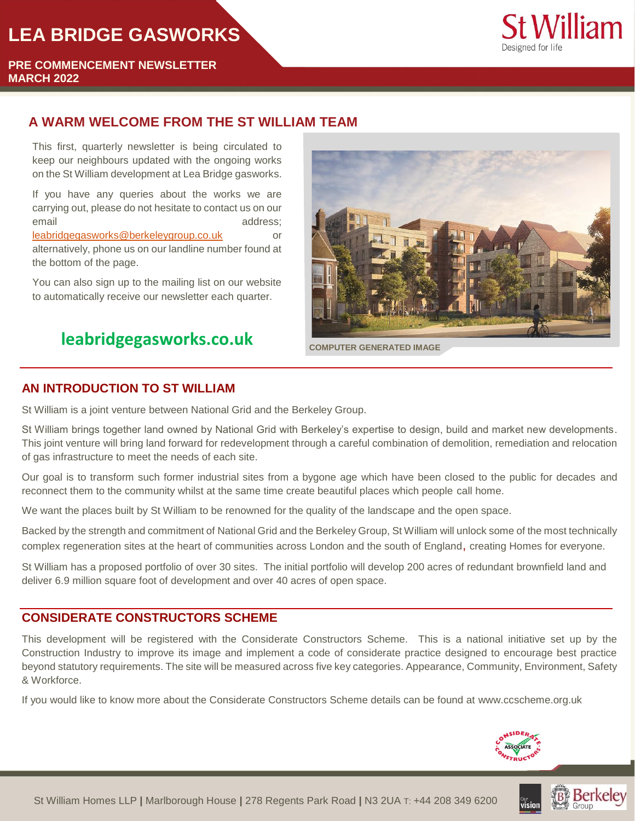# **LEA BRIDGE GASWORKS**



**PRE COMMENCEMENT NEWSLETTER MARCH 2022**

# **A WARM WELCOME FROM THE ST WILLIAM TEAM**

This first, quarterly newsletter is being circulated to keep our neighbours updated with the ongoing works on the St William development at Lea Bridge gasworks.

If you have any queries about the works we are carrying out, please do not hesitate to contact us on our email and address;

[leabridgegasworks@berkeleygroup.co.uk](mailto:leabridgegasworks@berkeleygroup.co.uk) or alternatively, phone us on our landline number found at the bottom of the page.

You can also sign up to the mailing list on our website to automatically receive our newsletter each quarter.

# **leabridgegasworks.co.uk COMPUTER GENERATED IMAGE**



#### **AN INTRODUCTION TO ST WILLIAM**

St William is a joint venture between National Grid and the Berkeley Group.

St William brings together land owned by National Grid with Berkeley's expertise to design, build and market new developments. This joint venture will bring land forward for redevelopment through a careful combination of demolition, remediation and relocation of gas infrastructure to meet the needs of each site.

Our goal is to transform such former industrial sites from a bygone age which have been closed to the public for decades and reconnect them to the community whilst at the same time create beautiful places which people call home.

We want the places built by St William to be renowned for the quality of the landscape and the open space.

Backed by the strength and commitment of National Grid and the Berkeley Group, St William will unlock some of the most technically complex regeneration sites at the heart of communities across London and the south of England, creating Homes for everyone.

St William has a proposed portfolio of over 30 sites. The initial portfolio will develop 200 acres of redundant brownfield land and deliver 6.9 million square foot of development and over 40 acres of open space.

### **CONSIDERATE CONSTRUCTORS SCHEME**

This development will be registered with the Considerate Constructors Scheme. This is a national initiative set up by the Construction Industry to improve its image and implement a code of considerate practice designed to encourage best practice beyond statutory requirements. The site will be measured across five key categories. Appearance, Community, Environment, Safety & Workforce.

If you would like to know more about the Considerate Constructors Scheme details can be found at [www.ccscheme.org.uk](file://///DataFS01.uk.bgroup.bz/Data$/SW/SW/SW-NorthWest/W404_Ascot/Post%20Planning/10.0%20-%20Construction/CCS/Newsletters/www.ccscheme.org.uk)



**Berkeley**